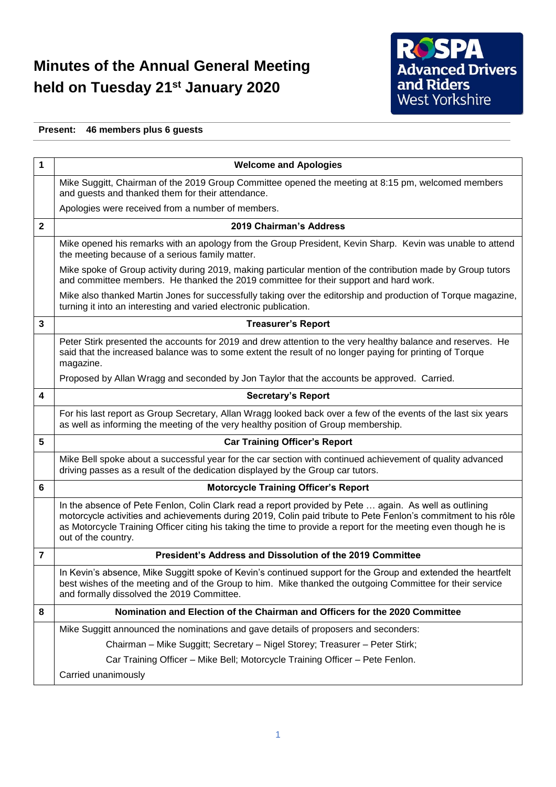## **Minutes of the Annual General Meeting held on Tuesday 21st January 2020**



## **Present: 46 members plus 6 guests**

| 1              | <b>Welcome and Apologies</b>                                                                                                                                                                                                                                                                                                                                       |
|----------------|--------------------------------------------------------------------------------------------------------------------------------------------------------------------------------------------------------------------------------------------------------------------------------------------------------------------------------------------------------------------|
|                | Mike Suggitt, Chairman of the 2019 Group Committee opened the meeting at 8:15 pm, welcomed members<br>and guests and thanked them for their attendance.                                                                                                                                                                                                            |
|                | Apologies were received from a number of members.                                                                                                                                                                                                                                                                                                                  |
| $\mathbf{2}$   | 2019 Chairman's Address                                                                                                                                                                                                                                                                                                                                            |
|                | Mike opened his remarks with an apology from the Group President, Kevin Sharp. Kevin was unable to attend<br>the meeting because of a serious family matter.                                                                                                                                                                                                       |
|                | Mike spoke of Group activity during 2019, making particular mention of the contribution made by Group tutors<br>and committee members. He thanked the 2019 committee for their support and hard work.                                                                                                                                                              |
|                | Mike also thanked Martin Jones for successfully taking over the editorship and production of Torque magazine,<br>turning it into an interesting and varied electronic publication.                                                                                                                                                                                 |
| 3              | <b>Treasurer's Report</b>                                                                                                                                                                                                                                                                                                                                          |
|                | Peter Stirk presented the accounts for 2019 and drew attention to the very healthy balance and reserves. He<br>said that the increased balance was to some extent the result of no longer paying for printing of Torque<br>magazine.                                                                                                                               |
|                | Proposed by Allan Wragg and seconded by Jon Taylor that the accounts be approved. Carried.                                                                                                                                                                                                                                                                         |
| 4              | <b>Secretary's Report</b>                                                                                                                                                                                                                                                                                                                                          |
|                | For his last report as Group Secretary, Allan Wragg looked back over a few of the events of the last six years<br>as well as informing the meeting of the very healthy position of Group membership.                                                                                                                                                               |
| 5              | <b>Car Training Officer's Report</b>                                                                                                                                                                                                                                                                                                                               |
|                | Mike Bell spoke about a successful year for the car section with continued achievement of quality advanced<br>driving passes as a result of the dedication displayed by the Group car tutors.                                                                                                                                                                      |
| 6              | <b>Motorcycle Training Officer's Report</b>                                                                                                                                                                                                                                                                                                                        |
|                | In the absence of Pete Fenlon, Colin Clark read a report provided by Pete  again. As well as outlining<br>motorcycle activities and achievements during 2019, Colin paid tribute to Pete Fenlon's commitment to his rôle<br>as Motorcycle Training Officer citing his taking the time to provide a report for the meeting even though he is<br>out of the country. |
| $\overline{7}$ | President's Address and Dissolution of the 2019 Committee                                                                                                                                                                                                                                                                                                          |
|                | In Kevin's absence, Mike Suggitt spoke of Kevin's continued support for the Group and extended the heartfelt<br>best wishes of the meeting and of the Group to him. Mike thanked the outgoing Committee for their service<br>and formally dissolved the 2019 Committee.                                                                                            |
| 8              | Nomination and Election of the Chairman and Officers for the 2020 Committee                                                                                                                                                                                                                                                                                        |
|                | Mike Suggitt announced the nominations and gave details of proposers and seconders:                                                                                                                                                                                                                                                                                |
|                | Chairman - Mike Suggitt; Secretary - Nigel Storey; Treasurer - Peter Stirk;                                                                                                                                                                                                                                                                                        |
|                | Car Training Officer - Mike Bell; Motorcycle Training Officer - Pete Fenlon.                                                                                                                                                                                                                                                                                       |
|                | Carried unanimously                                                                                                                                                                                                                                                                                                                                                |